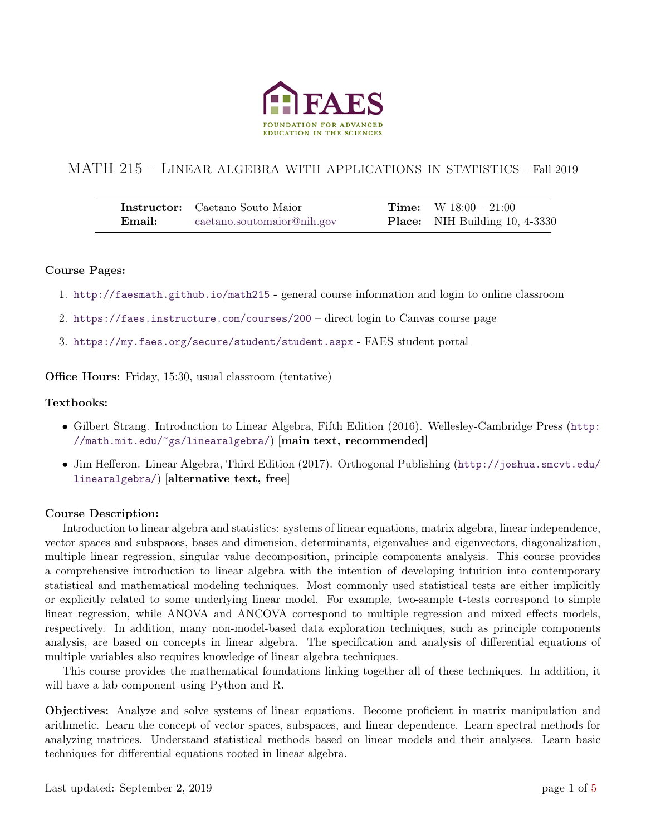

# MATH 215 – LINEAR ALGEBRA WITH APPLICATIONS IN STATISTICS – Fall 2019

|        | <b>Instructor:</b> Caetano Souto Maior | <b>Time:</b> $W$ 18:00 – 21:00        |
|--------|----------------------------------------|---------------------------------------|
| Email: | caetano.soutomaior@nih.gov             | <b>Place:</b> NIH Building 10, 4-3330 |

### Course Pages:

- 1. <http://faesmath.github.io/math215> general course information and login to online classroom
- 2. <https://faes.instructure.com/courses/200> direct login to Canvas course page
- 3. <https://my.faes.org/secure/student/student.aspx> FAES student portal

Office Hours: Friday, 15:30, usual classroom (tentative)

### Textbooks:

- Gilbert Strang. Introduction to Linear Algebra, Fifth Edition (2016). Wellesley-Cambridge Press ([http:](http://math.mit.edu/~gs/linearalgebra/) [//math.mit.edu/~gs/linearalgebra/](http://math.mit.edu/~gs/linearalgebra/)) [main text, recommended]
- Jim Hefferon. Linear Algebra, Third Edition (2017). Orthogonal Publishing ([http://joshua.smcvt.edu/](http://joshua.smcvt.edu/linearalgebra/) [linearalgebra/](http://joshua.smcvt.edu/linearalgebra/)) [alternative text, free]

### Course Description:

Introduction to linear algebra and statistics: systems of linear equations, matrix algebra, linear independence, vector spaces and subspaces, bases and dimension, determinants, eigenvalues and eigenvectors, diagonalization, multiple linear regression, singular value decomposition, principle components analysis. This course provides a comprehensive introduction to linear algebra with the intention of developing intuition into contemporary statistical and mathematical modeling techniques. Most commonly used statistical tests are either implicitly or explicitly related to some underlying linear model. For example, two-sample t-tests correspond to simple linear regression, while ANOVA and ANCOVA correspond to multiple regression and mixed effects models, respectively. In addition, many non-model-based data exploration techniques, such as principle components analysis, are based on concepts in linear algebra. The specification and analysis of differential equations of multiple variables also requires knowledge of linear algebra techniques.

This course provides the mathematical foundations linking together all of these techniques. In addition, it will have a lab component using Python and R.

Objectives: Analyze and solve systems of linear equations. Become proficient in matrix manipulation and arithmetic. Learn the concept of vector spaces, subspaces, and linear dependence. Learn spectral methods for analyzing matrices. Understand statistical methods based on linear models and their analyses. Learn basic techniques for differential equations rooted in linear algebra.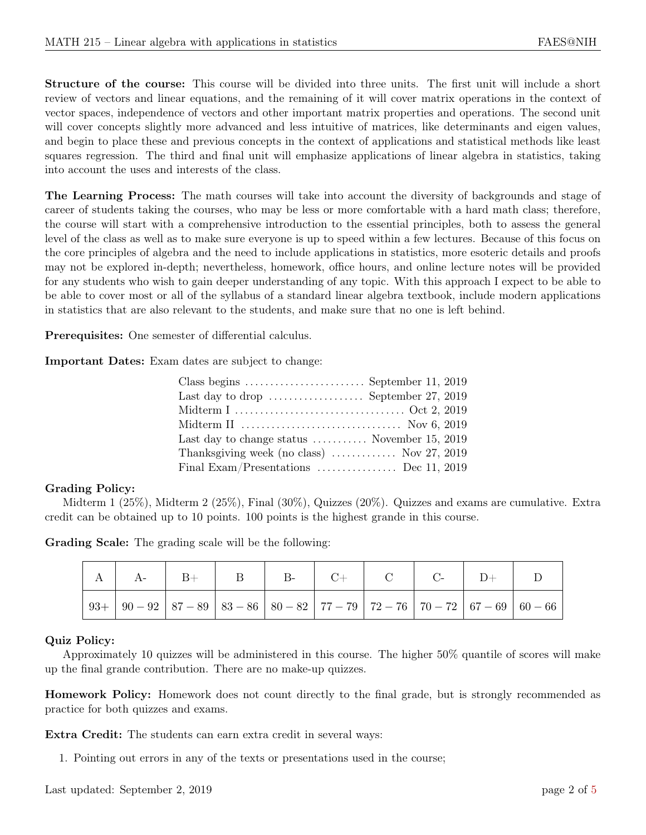Structure of the course: This course will be divided into three units. The first unit will include a short review of vectors and linear equations, and the remaining of it will cover matrix operations in the context of vector spaces, independence of vectors and other important matrix properties and operations. The second unit will cover concepts slightly more advanced and less intuitive of matrices, like determinants and eigen values, and begin to place these and previous concepts in the context of applications and statistical methods like least squares regression. The third and final unit will emphasize applications of linear algebra in statistics, taking into account the uses and interests of the class.

The Learning Process: The math courses will take into account the diversity of backgrounds and stage of career of students taking the courses, who may be less or more comfortable with a hard math class; therefore, the course will start with a comprehensive introduction to the essential principles, both to assess the general level of the class as well as to make sure everyone is up to speed within a few lectures. Because of this focus on the core principles of algebra and the need to include applications in statistics, more esoteric details and proofs may not be explored in-depth; nevertheless, homework, office hours, and online lecture notes will be provided for any students who wish to gain deeper understanding of any topic. With this approach I expect to be able to be able to cover most or all of the syllabus of a standard linear algebra textbook, include modern applications in statistics that are also relevant to the students, and make sure that no one is left behind.

Prerequisites: One semester of differential calculus.

Important Dates: Exam dates are subject to change:

| Class begins $\dots \dots \dots \dots \dots \dots$ . September 11, 2019 |
|-------------------------------------------------------------------------|
| Last day to drop $\dots\dots\dots\dots\dots$ . September 27, 2019       |
|                                                                         |
|                                                                         |
| Last day to change status $\dots \dots \dots$ . November 15, 2019       |
| Thanksgiving week (no class) $\ldots$ Nov 27, 2019                      |
| Final Exam/Presentations  Dec 11, 2019                                  |
|                                                                         |

#### Grading Policy:

Midterm 1 (25%), Midterm 2 (25%), Final (30%), Quizzes (20%). Quizzes and exams are cumulative. Extra credit can be obtained up to 10 points. 100 points is the highest grande in this course.

Grading Scale: The grading scale will be the following:

| $A \mid A$ | $\vert$ B+ | $\parallel$ B $\parallel$ B- |  |  |  |
|------------|------------|------------------------------|--|--|--|
|            |            |                              |  |  |  |

#### Quiz Policy:

Approximately 10 quizzes will be administered in this course. The higher 50% quantile of scores will make up the final grande contribution. There are no make-up quizzes.

Homework Policy: Homework does not count directly to the final grade, but is strongly recommended as practice for both quizzes and exams.

Extra Credit: The students can earn extra credit in several ways:

1. Pointing out errors in any of the texts or presentations used in the course;

Last updated: September 2, 2019 page 2 of [5](#page-4-0)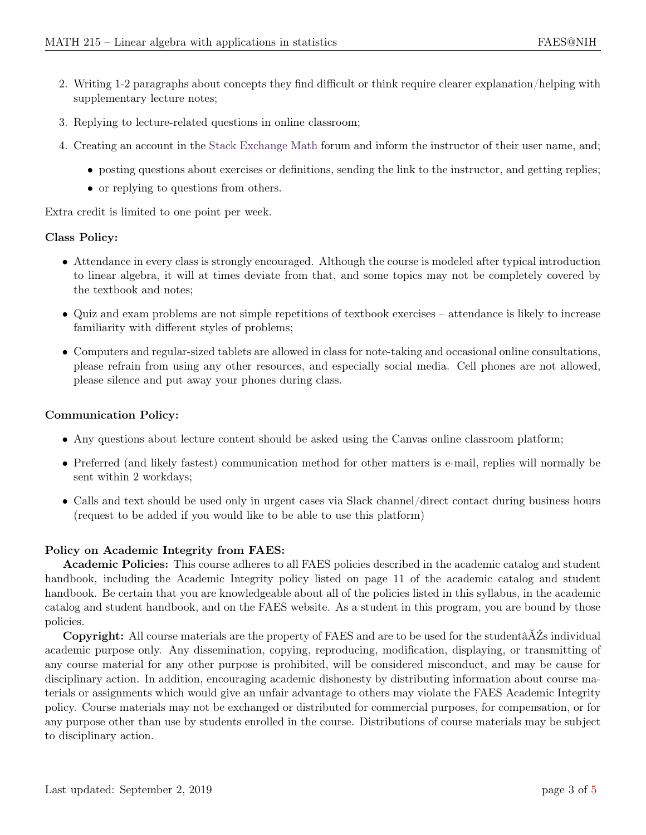- 2. Writing 1-2 paragraphs about concepts they find difficult or think require clearer explanation/helping with supplementary lecture notes;
- 3. Replying to lecture-related questions in online classroom;
- 4. Creating an account in the [Stack Exchange Math](http://math.stackexchange.com) forum and inform the instructor of their user name, and;
	- posting questions about exercises or definitions, sending the link to the instructor, and getting replies;
	- or replying to questions from others.

Extra credit is limited to one point per week.

## Class Policy:

- Attendance in every class is strongly encouraged. Although the course is modeled after typical introduction to linear algebra, it will at times deviate from that, and some topics may not be completely covered by the textbook and notes;
- Quiz and exam problems are not simple repetitions of textbook exercises attendance is likely to increase familiarity with different styles of problems;
- Computers and regular-sized tablets are allowed in class for note-taking and occasional online consultations, please refrain from using any other resources, and especially social media. Cell phones are not allowed, please silence and put away your phones during class.

# Communication Policy:

- Any questions about lecture content should be asked using the Canvas online classroom platform;
- Preferred (and likely fastest) communication method for other matters is e-mail, replies will normally be sent within 2 workdays;
- Calls and text should be used only in urgent cases via Slack channel/direct contact during business hours (request to be added if you would like to be able to use this platform)

## Policy on Academic Integrity from FAES:

Academic Policies: This course adheres to all FAES policies described in the academic catalog and student handbook, including the Academic Integrity policy listed on page 11 of the academic catalog and student handbook. Be certain that you are knowledgeable about all of the policies listed in this syllabus, in the academic catalog and student handbook, and on the FAES website. As a student in this program, you are bound by those policies.

Copyright: All course materials are the property of FAES and are to be used for the studentâĂŹs individual academic purpose only. Any dissemination, copying, reproducing, modification, displaying, or transmitting of any course material for any other purpose is prohibited, will be considered misconduct, and may be cause for disciplinary action. In addition, encouraging academic dishonesty by distributing information about course materials or assignments which would give an unfair advantage to others may violate the FAES Academic Integrity policy. Course materials may not be exchanged or distributed for commercial purposes, for compensation, or for any purpose other than use by students enrolled in the course. Distributions of course materials may be subject to disciplinary action.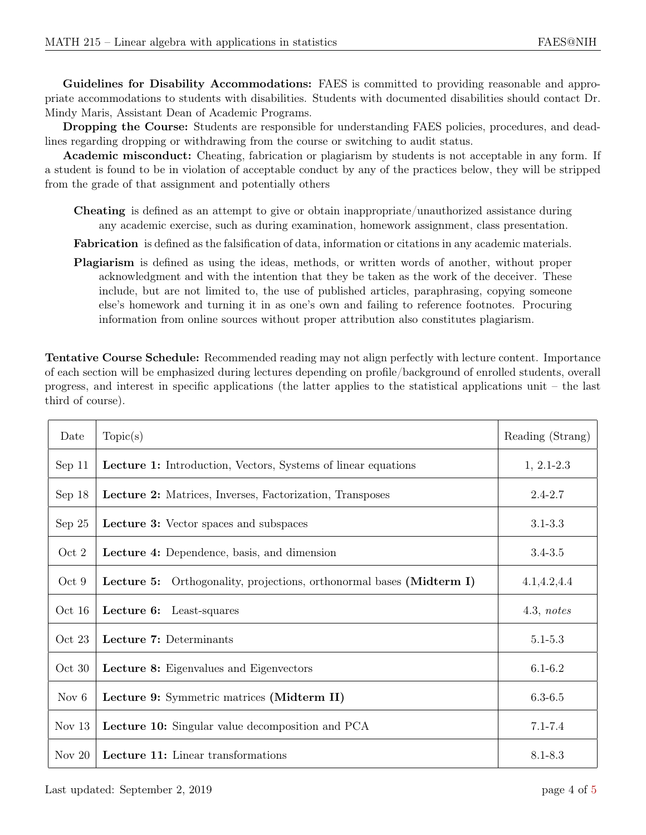Guidelines for Disability Accommodations: FAES is committed to providing reasonable and appropriate accommodations to students with disabilities. Students with documented disabilities should contact Dr. Mindy Maris, Assistant Dean of Academic Programs.

Dropping the Course: Students are responsible for understanding FAES policies, procedures, and deadlines regarding dropping or withdrawing from the course or switching to audit status.

Academic misconduct: Cheating, fabrication or plagiarism by students is not acceptable in any form. If a student is found to be in violation of acceptable conduct by any of the practices below, they will be stripped from the grade of that assignment and potentially others

Cheating is defined as an attempt to give or obtain inappropriate/unauthorized assistance during any academic exercise, such as during examination, homework assignment, class presentation.

Fabrication is defined as the falsification of data, information or citations in any academic materials.

Plagiarism is defined as using the ideas, methods, or written words of another, without proper acknowledgment and with the intention that they be taken as the work of the deceiver. These include, but are not limited to, the use of published articles, paraphrasing, copying someone else's homework and turning it in as one's own and failing to reference footnotes. Procuring information from online sources without proper attribution also constitutes plagiarism.

Tentative Course Schedule: Recommended reading may not align perfectly with lecture content. Importance of each section will be emphasized during lectures depending on profile/background of enrolled students, overall progress, and interest in specific applications (the latter applies to the statistical applications unit – the last third of course).

| Date     | Topic(s)                                                                | Reading (Strang) |
|----------|-------------------------------------------------------------------------|------------------|
| Sep 11   | <b>Lecture 1:</b> Introduction, Vectors, Systems of linear equations    | $1, 2.1 - 2.3$   |
| Sep $18$ | Lecture 2: Matrices, Inverses, Factorization, Transposes                | $2.4 - 2.7$      |
| Sep $25$ | <b>Lecture 3:</b> Vector spaces and subspaces                           | $3.1 - 3.3$      |
| Oct 2    | Lecture 4: Dependence, basis, and dimension                             | $3.4 - 3.5$      |
| Oct 9    | Orthogonality, projections, orthonormal bases (Midterm I)<br>Lecture 5: | 4.1, 4.2, 4.4    |
| Oct 16   | Lecture 6:<br>Least-squares                                             | 4.3, notes       |
| Oct 23   | Lecture 7: Determinants                                                 | $5.1 - 5.3$      |
| Oct 30   | Lecture 8: Eigenvalues and Eigenvectors                                 | $6.1 - 6.2$      |
| Nov $6$  | Lecture 9: Symmetric matrices (Midterm II)                              | $6.3 - 6.5$      |
| Nov $13$ | <b>Lecture 10:</b> Singular value decomposition and PCA                 | $7.1 - 7.4$      |
| Nov $20$ | <b>Lecture 11:</b> Linear transformations                               | 8.1-8.3          |